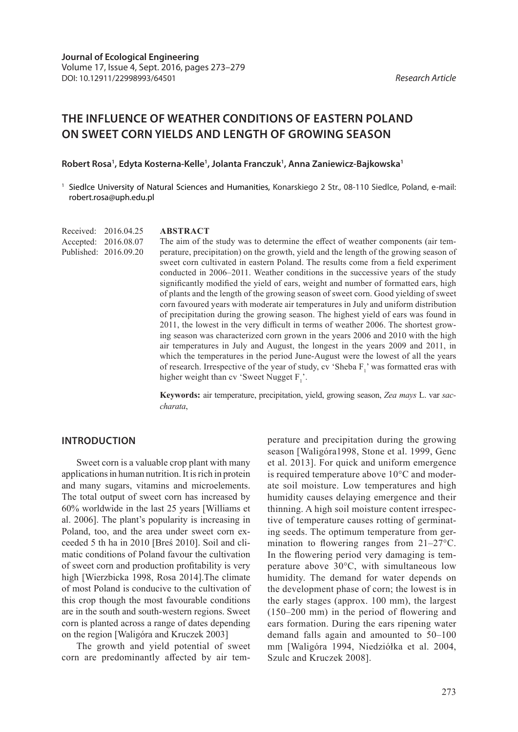# **THE INFLUENCE OF WEATHER CONDITIONS OF EASTERN POLAND ON SWEET CORN YIELDS AND LENGTH OF GROWING SEASON**

#### **Robert Rosa1 , Edyta Kosterna-Kelle1 , Jolanta Franczuk1 , Anna Zaniewicz-Bajkowska1**

<sup>1</sup> Siedlce University of Natural Sciences and Humanities, Konarskiego 2 Str., 08-110 Siedlce, Poland, e-mail: robert.rosa@uph.edu.pl

Received: 2016.04.25 Accepted: 2016.08.07 Published: 2016.09.20

#### **ABSTRACT**

The aim of the study was to determine the effect of weather components (air temperature, precipitation) on the growth, yield and the length of the growing season of sweet corn cultivated in eastern Poland. The results come from a field experiment conducted in 2006–2011. Weather conditions in the successive years of the study significantly modified the yield of ears, weight and number of formatted ears, high of plants and the length of the growing season of sweet corn. Good yielding of sweet corn favoured years with moderate air temperatures in July and uniform distribution of precipitation during the growing season. The highest yield of ears was found in 2011, the lowest in the very difficult in terms of weather 2006. The shortest growing season was characterized corn grown in the years 2006 and 2010 with the high air temperatures in July and August, the longest in the years 2009 and 2011, in which the temperatures in the period June-August were the lowest of all the years of research. Irrespective of the year of study, cv 'Sheba  $F_1$ ' was formatted eras with higher weight than cv 'Sweet Nugget  $F_1$ '.

**Keywords:** air temperature, precipitation, yield, growing season, *Zea mays* L. var *saccharata*,

### **INTRODUCTION**

Sweet corn is a valuable crop plant with many applications in human nutrition. It is rich in protein and many sugars, vitamins and microelements. The total output of sweet corn has increased by 60% worldwide in the last 25 years [Williams et al. 2006]. The plant's popularity is increasing in Poland, too, and the area under sweet corn exceeded 5 th ha in 2010 [Breś 2010]. Soil and climatic conditions of Poland favour the cultivation of sweet corn and production profitability is very high [Wierzbicka 1998, Rosa 2014].The climate of most Poland is conducive to the cultivation of this crop though the most favourable conditions are in the south and south-western regions. Sweet corn is planted across a range of dates depending on the region [Waligóra and Kruczek 2003]

The growth and yield potential of sweet corn are predominantly affected by air temperature and precipitation during the growing season [Waligóra1998, Stone et al. 1999, Genc et al. 2013]. For quick and uniform emergence is required temperature above 10°C and moderate soil moisture. Low temperatures and high humidity causes delaying emergence and their thinning. A high soil moisture content irrespective of temperature causes rotting of germinating seeds. The optimum temperature from germination to flowering ranges from 21–27°C. In the flowering period very damaging is temperature above 30°C, with simultaneous low humidity. The demand for water depends on the development phase of corn; the lowest is in the early stages (approx. 100 mm), the largest (150–200 mm) in the period of flowering and ears formation. During the ears ripening water demand falls again and amounted to 50–100 mm [Waligóra 1994, Niedziółka et al. 2004, Szulc and Kruczek 2008].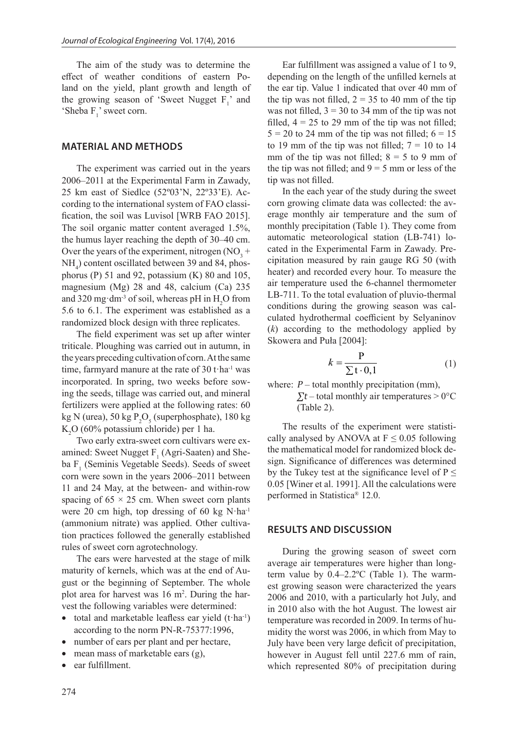The aim of the study was to determine the effect of weather conditions of eastern Poland on the yield, plant growth and length of the growing season of 'Sweet Nugget  $F_1$ ' and 'Sheba  $F_1$ ' sweet corn.

### **MATERIAL AND METHODS**

The experiment was carried out in the years 2006–2011 at the Experimental Farm in Zawady, 25 km east of Siedlce (52º03'N, 22º33'E). According to the international system of FAO classification, the soil was Luvisol [WRB FAO 2015]. The soil organic matter content averaged 1.5%, the humus layer reaching the depth of 30–40 cm. Over the years of the experiment, nitrogen  $(NO<sub>3</sub> +$ NH4 ) content oscillated between 39 and 84, phosphorus (P) 51 and 92, potassium (K) 80 and 105, magnesium (Mg) 28 and 48, calcium (Ca) 235 and 320 mg·dm<sup>-3</sup> of soil, whereas pH in  $H_2O$  from 5.6 to 6.1. The experiment was established as a randomized block design with three replicates.

The field experiment was set up after winter triticale. Ploughing was carried out in autumn, in the years preceding cultivation of corn. At the same time, farmyard manure at the rate of  $30$  t·ha<sup>-1</sup> was incorporated. In spring, two weeks before sowing the seeds, tillage was carried out, and mineral fertilizers were applied at the following rates: 60 kg N (urea), 50 kg  $P_2O_5$  (superphosphate), 180 kg  $K<sub>2</sub>O$  (60% potassium chloride) per 1 ha.

Two early extra-sweet corn cultivars were examined: Sweet Nugget  $F_1$  (Agri-Saaten) and Sheba  $F_1$  (Seminis Vegetable Seeds). Seeds of sweet corn were sown in the years 2006–2011 between 11 and 24 May, at the between- and within-row spacing of  $65 \times 25$  cm. When sweet corn plants were 20 cm high, top dressing of 60 kg  $N$ ·ha<sup>-1</sup> (ammonium nitrate) was applied. Other cultivation practices followed the generally established rules of sweet corn agrotechnology.

The ears were harvested at the stage of milk maturity of kernels, which was at the end of August or the beginning of September. The whole plot area for harvest was  $16 \text{ m}^2$ . During the harvest the following variables were determined:

- total and marketable leafless ear yield  $(t<sup>-1</sup>)$ according to the norm PN-R-75377:1996,
- number of ears per plant and per hectare,
- mean mass of marketable ears  $(g)$ ,
- ear fulfillment.

Ear fulfillment was assigned a value of 1 to 9, depending on the length of the unfilled kernels at the ear tip. Value 1 indicated that over 40 mm of the tip was not filled,  $2 = 35$  to 40 mm of the tip was not filled,  $3 = 30$  to 34 mm of the tip was not filled,  $4 = 25$  to 29 mm of the tip was not filled;  $5 = 20$  to 24 mm of the tip was not filled;  $6 = 15$ to 19 mm of the tip was not filled;  $7 = 10$  to 14 mm of the tip was not filled;  $8 = 5$  to 9 mm of the tip was not filled; and  $9 = 5$  mm or less of the tip was not filled.

In the each year of the study during the sweet corn growing climate data was collected: the average monthly air temperature and the sum of monthly precipitation (Table 1). They come from automatic meteorological station (LB-741) located in the Experimental Farm in Zawady. Precipitation measured by rain gauge RG 50 (with heater) and recorded every hour. To measure the air temperature used the 6-channel thermometer LB-711. To the total evaluation of pluvio-thermal conditions during the growing season was calculated hydrothermal coefficient by Selyaninov (*k*) according to the methodology applied by Skowera and Puła [2004]:

$$
k = \frac{P}{\sum t \cdot 0, 1} \tag{1}
$$

where:  $P$  – total monthly precipitation (mm),

 $\Sigma t$  – total monthly air temperatures > 0°C (Table 2).

The results of the experiment were statistically analysed by ANOVA at  $F \leq 0.05$  following the mathematical model for randomized block design. Significance of differences was determined by the Tukey test at the significance level of  $P \leq$ 0.05 [Winer et al. 1991]. All the calculations were performed in Statistica® 12.0.

#### **RESULTS AND DISCUSSION**

During the growing season of sweet corn average air temperatures were higher than longterm value by 0.4–2.2ºC (Table 1). The warmest growing season were characterized the years 2006 and 2010, with a particularly hot July, and in 2010 also with the hot August. The lowest air temperature was recorded in 2009. In terms of humidity the worst was 2006, in which from May to July have been very large deficit of precipitation, however in August fell until 227.6 mm of rain, which represented 80% of precipitation during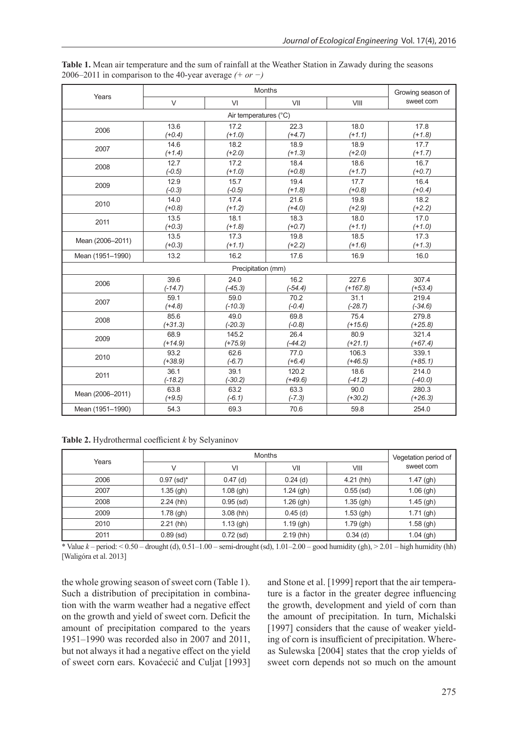|                       |           | Growing season of  |           |            |            |  |  |  |  |
|-----------------------|-----------|--------------------|-----------|------------|------------|--|--|--|--|
| Years                 | $\vee$    | VI                 | VII       | VIII       | sweet corn |  |  |  |  |
| Air temperatures (°C) |           |                    |           |            |            |  |  |  |  |
| 2006                  | 13.6      | 17.2               | 22.3      | 18.0       | 17.8       |  |  |  |  |
|                       | $(+0.4)$  | $(+1.0)$           | $(+4.7)$  | $(+1.1)$   | $(+1.8)$   |  |  |  |  |
| 2007                  | 14.6      | 18.2               | 18.9      | 18.9       | 17.7       |  |  |  |  |
|                       | $(+1.4)$  | $(+2.0)$           | $(+1.3)$  | $(+2.0)$   | $(+1.7)$   |  |  |  |  |
| 2008                  | 12.7      | 17.2               | 18.4      | 18.6       | 16.7       |  |  |  |  |
|                       | $(-0.5)$  | $(+1.0)$           | $(+0.8)$  | $(+1.7)$   | $(+0.7)$   |  |  |  |  |
| 2009                  | 12.9      | 15.7               | 19.4      | 17.7       | 16.4       |  |  |  |  |
|                       | $(-0.3)$  | $(-0.5)$           | $(+1.8)$  | $(+0.8)$   | $(+0.4)$   |  |  |  |  |
| 2010                  | 14.0      | 17.4               | 21.6      | 19.8       | 18.2       |  |  |  |  |
|                       | $(+0.8)$  | $(+1.2)$           | $(+4.0)$  | $(+2.9)$   | $(+2.2)$   |  |  |  |  |
| 2011                  | 13.5      | 18.1               | 18.3      | 18.0       | 17.0       |  |  |  |  |
|                       | $(+0.3)$  | $(+1.8)$           | $(+0.7)$  | $(+1.1)$   | $(+1.0)$   |  |  |  |  |
| Mean (2006-2011)      | 13.5      | 17.3               | 19.8      | 18.5       | 17.3       |  |  |  |  |
|                       | $(+0.3)$  | $(+1.1)$           | $(+2.2)$  | $(+1.6)$   | $(+1.3)$   |  |  |  |  |
| Mean (1951-1990)      | 13.2      | 16.2               | 17.6      | 16.9       | 16.0       |  |  |  |  |
|                       |           | Precipitation (mm) |           |            |            |  |  |  |  |
| 2006                  | 39.6      | 24.0               | 16.2      | 227.6      | 307.4      |  |  |  |  |
|                       | $(-14.7)$ | $(-45.3)$          | $(-54.4)$ | $(+167.8)$ | $(+53.4)$  |  |  |  |  |
| 2007                  | 59.1      | 59.0               | 70.2      | 31.1       | 219.4      |  |  |  |  |
|                       | $(+4.8)$  | $(-10.3)$          | $(-0.4)$  | $(-28.7)$  | $(-34.6)$  |  |  |  |  |
| 2008                  | 85.6      | 49.0               | 69.8      | 75.4       | 279.8      |  |  |  |  |
|                       | $(+31.3)$ | $(-20.3)$          | $(-0.8)$  | $(+15.6)$  | $(+25.8)$  |  |  |  |  |
| 2009                  | 68.9      | 145.2              | 26.4      | 80.9       | 321.4      |  |  |  |  |
|                       | $(+14.9)$ | $(+75.9)$          | $(-44.2)$ | $(+21.1)$  | $(+67.4)$  |  |  |  |  |
| 2010                  | 93.2      | 62.6               | 77.0      | 106.3      | 339.1      |  |  |  |  |
|                       | $(+38.9)$ | $(-6.7)$           | $(+6.4)$  | $(+46.5)$  | $(+85.1)$  |  |  |  |  |
| 2011                  | 36.1      | 39.1               | 120.2     | 18.6       | 214.0      |  |  |  |  |
|                       | $(-18.2)$ | $(-30.2)$          | $(+49.6)$ | $(-41.2)$  | $(-40.0)$  |  |  |  |  |
| Mean (2006-2011)      | 63.8      | 63.2               | 63.3      | 90.0       | 280.3      |  |  |  |  |
|                       | $(+9.5)$  | $(-6.1)$           | $(-7.3)$  | $(+30.2)$  | $(+26.3)$  |  |  |  |  |
| Mean (1951-1990)      | 54.3      | 69.3               | 70.6      | 59.8       | 254.0      |  |  |  |  |

**Table 1.** Mean air temperature and the sum of rainfall at the Weather Station in Zawady during the seasons 2006–2011 in comparison to the 40-year average *(+ or −)*

**Table 2.** Hydrothermal coefficient *k* by Selyaninov

| Years |                          | Vegetation period of |             |             |             |
|-------|--------------------------|----------------------|-------------|-------------|-------------|
|       |                          | VI                   | VII         | VIII        | sweet corn  |
| 2006  | $0.97$ (sd) <sup>*</sup> | $0.47$ (d)           | $0.24$ (d)  | $4.21$ (hh) | $1.47$ (gh) |
| 2007  | $1.35$ (gh)              | $1.08$ (gh)          | $1.24$ (gh) | $0.55$ (sd) | $1.06$ (gh) |
| 2008  | $2.24$ (hh)              | $0.95$ (sd)          | $1.26$ (gh) | $1.35$ (gh) | $1.45$ (gh) |
| 2009  | $1.78$ (gh)              | $3.08$ (hh)          | $0.45$ (d)  | $1.53$ (gh) | $1.71$ (gh) |
| 2010  | $2.21$ (hh)              | $1.13$ (gh)          | $1.19$ (gh) | $1.79$ (gh) | $1.58$ (gh) |
| 2011  | $0.89$ (sd)              | $0.72$ (sd)          | $2.19$ (hh) | $0.34$ (d)  | $1.04$ (gh) |

\* Value *k* – period: < 0.50 – drought (d), 0.51–1.00 – semi-drought (sd), 1.01–2.00 – good humidity (gh), > 2.01 – high humidity (hh) [Waligóra et al. 2013]

the whole growing season of sweet corn (Table 1). Such a distribution of precipitation in combination with the warm weather had a negative effect on the growth and yield of sweet corn. Deficit the amount of precipitation compared to the years 1951–1990 was recorded also in 2007 and 2011, but not always it had a negative effect on the yield of sweet corn ears. Kovaćecić and Culjat [1993] and Stone et al. [1999] report that the air temperature is a factor in the greater degree influencing the growth, development and yield of corn than the amount of precipitation. In turn, Michalski [1997] considers that the cause of weaker yielding of corn is insufficient of precipitation. Whereas Sulewska [2004] states that the crop yields of sweet corn depends not so much on the amount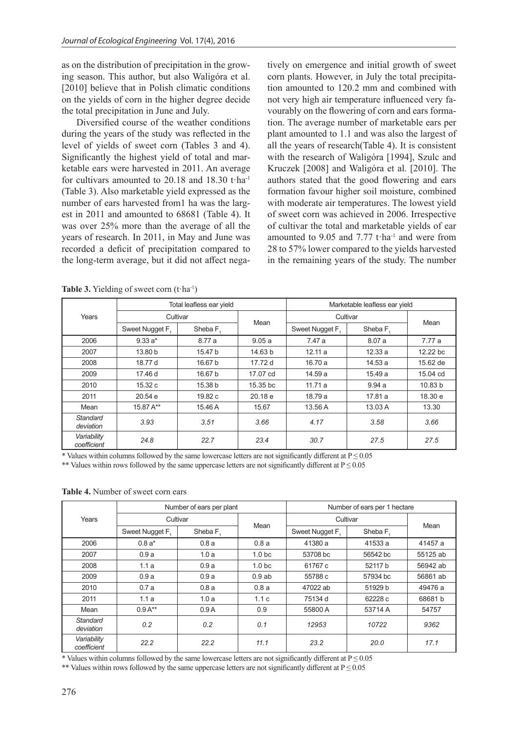as on the distribution of precipitation in the growing season. This author, but also Waligóra et al. [2010] believe that in Polish climatic conditions on the yields of corn in the higher degree decide the total precipitation in June and July.

Diversified course of the weather conditions during the years of the study was reflected in the level of yields of sweet corn (Tables 3 and 4). Significantly the highest yield of total and marketable ears were harvested in 2011. An average for cultivars amounted to 20.18 and 18.30 t·ha-1 (Table 3). Also marketable yield expressed as the number of ears harvested from1 ha was the largest in 2011 and amounted to 68681 (Table 4). It was over 25% more than the average of all the years of research. In 2011, in May and June was recorded a deficit of precipitation compared to the long-term average, but it did not affect negatively on emergence and initial growth of sweet corn plants. However, in July the total precipitation amounted to 120.2 mm and combined with not very high air temperature influenced very favourably on the flowering of corn and ears formation. The average number of marketable ears per plant amounted to 1.1 and was also the largest of all the years of research(Table 4). It is consistent with the research of Waligóra [1994], Szulc and Kruczek [2008] and Waligóra et al. [2010]. The authors stated that the good flowering and ears formation favour higher soil moisture, combined with moderate air temperatures. The lowest yield of sweet corn was achieved in 2006. Irrespective of cultivar the total and marketable yields of ear amounted to 9.05 and 7.77 t $\cdot$ ha<sup>-1</sup> and were from 28 to 57% lower compared to the yields harvested in the remaining years of the study. The number

|                            |                | Total leafless ear yield |          | Marketable leafless ear yield |         |          |  |
|----------------------------|----------------|--------------------------|----------|-------------------------------|---------|----------|--|
| Years                      |                | Cultivar                 |          | Cultivar                      |         |          |  |
|                            | Sweet Nugget F | Sheba F                  | Mean     | Sweet Nugget F                | Sheba F | Mean     |  |
| 2006                       | $9.33 a*$      | 8.77 a                   | 9.05a    | 7.47 a                        | 8.07a   | 7.77 a   |  |
| 2007                       | 13.80 b        | 15.47 b                  | 14.63 b  | 12.11a                        | 12.33a  | 12.22 bc |  |
| 2008                       | 18.77 d        | 16.67 b                  | 17.72 d  | 16.70 a                       | 14.53 a | 15.62 de |  |
| 2009                       | 17.46 d        | 16.67 b                  | 17.07 cd | 14.59 a                       | 15.49 a | 15.04 cd |  |
| 2010                       | 15.32 c        | 15.38 b                  | 15.35 bc | 11.71a                        | 9.94a   | 10.83 b  |  |
| 2011                       | 20.54e         | 19.82 c                  | 20.18e   | 18.79 a                       | 17.81 a | 18.30 e  |  |
| Mean                       | 15.87 A**      | 15.46 A                  | 15.67    | 13.56 A                       | 13.03 A | 13.30    |  |
| Standard<br>deviation      | 3.93           | 3.51                     | 3.66     | 4.17                          | 3.58    | 3.66     |  |
| Variability<br>coefficient | 24.8           | 22.7                     | 23.4     | 30.7                          | 27.5    | 27.5     |  |

Table 3. Yielding of sweet corn (t·ha<sup>-1</sup>)

\* Values within columns followed by the same lowercase letters are not significantly different at  $P \le 0.05$ 

\*\* Values within rows followed by the same uppercase letters are not significantly different at  $P \le 0.05$ 

**Table 4.** Number of sweet corn ears

| Years                      |                 | Number of ears per plant |                   | Number of ears per 1 hectare |          |          |  |
|----------------------------|-----------------|--------------------------|-------------------|------------------------------|----------|----------|--|
|                            |                 | Cultivar                 | Mean              | Cultivar                     |          |          |  |
|                            | Sweet Nugget F. | Sheba F.                 |                   | Sweet Nugget F.              | Sheba F  | Mean     |  |
| 2006                       | $0.8a*$         | 0.8a                     | 0.8a              | 41380 a                      | 41533 a  | 41457 a  |  |
| 2007                       | 0.9a            | 1.0a                     | 1.0 <sub>bc</sub> | 53708 bc                     | 56542 bc | 55125 ab |  |
| 2008                       | 1.1a            | 0.9a                     | 1.0 <sub>bc</sub> | 61767 c                      | 52117 b  | 56942 ab |  |
| 2009                       | 0.9a            | 0.9a                     | 0.9ab             | 55788 c                      | 57934 bc | 56861 ab |  |
| 2010                       | 0.7a            | 0.8a                     | 0.8a              | 47022 ab                     | 51929 b  | 49476 a  |  |
| 2011                       | 1.1a            | 1.0a                     | 1.1c              | 75134 d                      | 62228 c  | 68681b   |  |
| Mean                       | $0.9A^{**}$     | 0.9A                     | 0.9               | 55800 A                      | 53714 A  | 54757    |  |
| Standard<br>deviation      | 0.2             | 0.2                      | 0.1               | 12953                        | 10722    | 9362     |  |
| Variability<br>coefficient | 22.2            | 22.2                     | 11.1              | 23.2                         | 20.0     | 17.1     |  |

\* Values within columns followed by the same lowercase letters are not significantly different at  $P \le 0.05$ 

\*\* Values within rows followed by the same uppercase letters are not significantly different at  $P \le 0.05$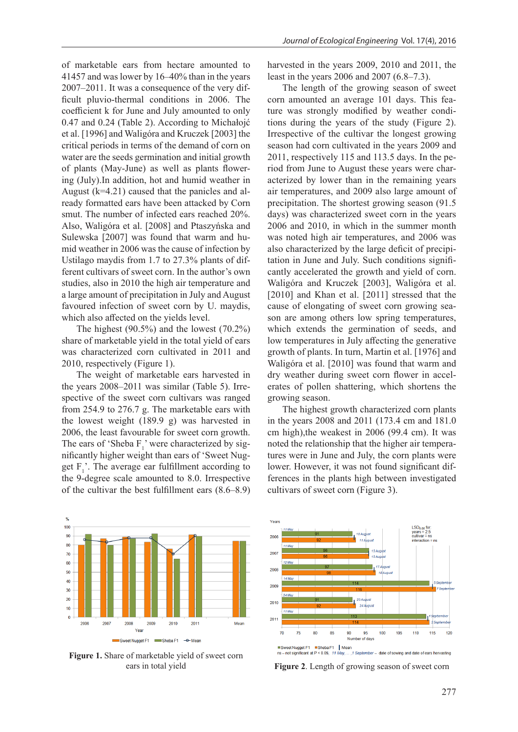of marketable ears from hectare amounted to 41457 and was lower by 16–40% than in the years 2007–2011. It was a consequence of the very difficult pluvio-thermal conditions in 2006. The coefficient k for June and July amounted to only 0.47 and 0.24 (Table 2). According to Michałojć et al. [1996] and Waligóra and Kruczek [2003] the critical periods in terms of the demand of corn on water are the seeds germination and initial growth of plants (May-June) as well as plants flowering (July).In addition, hot and humid weather in August (k=4.21) caused that the panicles and already formatted ears have been attacked by Corn smut. The number of infected ears reached 20%. Also, Waligóra et al. [2008] and Ptaszyńska and Sulewska [2007] was found that warm and humid weather in 2006 was the cause of infection by Ustilago maydis from 1.7 to 27.3% plants of different cultivars of sweet corn. In the author's own studies, also in 2010 the high air temperature and a large amount of precipitation in July and August favoured infection of sweet corn by U. maydis, which also affected on the yields level.

The highest (90.5%) and the lowest (70.2%) share of marketable yield in the total yield of ears was characterized corn cultivated in 2011 and 2010, respectively (Figure 1).

The weight of marketable ears harvested in the years 2008–2011 was similar (Table 5). Irrespective of the sweet corn cultivars was ranged from 254.9 to 276.7 g. The marketable ears with the lowest weight (189.9 g) was harvested in 2006, the least favourable for sweet corn growth. The ears of 'Sheba  $F_1$ ' were characterized by significantly higher weight than ears of 'Sweet Nugget  $F_1'$ . The average ear fulfillment according to the 9-degree scale amounted to 8.0. Irrespective of the cultivar the best fulfillment ears (8.6–8.9)

harvested in the years 2009, 2010 and 2011, the least in the years 2006 and 2007 (6.8–7.3).

The length of the growing season of sweet corn amounted an average 101 days. This feature was strongly modified by weather conditions during the years of the study (Figure 2). Irrespective of the cultivar the longest growing season had corn cultivated in the years 2009 and 2011, respectively 115 and 113.5 days. In the period from June to August these years were characterized by lower than in the remaining years air temperatures, and 2009 also large amount of precipitation. The shortest growing season (91.5 days) was characterized sweet corn in the years 2006 and 2010, in which in the summer month was noted high air temperatures, and 2006 was also characterized by the large deficit of precipitation in June and July. Such conditions significantly accelerated the growth and yield of corn. Waligóra and Kruczek [2003], Waligóra et al. [2010] and Khan et al. [2011] stressed that the cause of elongating of sweet corn growing season are among others low spring temperatures, which extends the germination of seeds, and low temperatures in July affecting the generative growth of plants. In turn, Martin et al. [1976] and Waligóra et al. [2010] was found that warm and dry weather during sweet corn flower in accelerates of pollen shattering, which shortens the growing season.

The highest growth characterized corn plants in the years 2008 and 2011 (173.4 cm and 181.0 cm high),the weakest in 2006 (99.4 cm). It was noted the relationship that the higher air temperatures were in June and July, the corn plants were lower. However, it was not found significant differences in the plants high between investigated cultivars of sweet corn (Figure 3).



**Figure 1.** Share of marketable yield of sweet corn ears in total yield



**Figure 2**. Length of growing season of sweet corn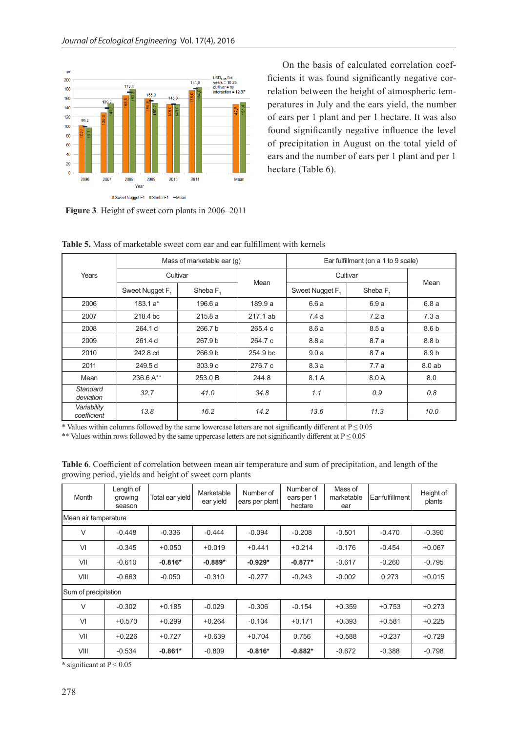

**Figure 3***.* Height of sweet corn plants in 2006–2011

On the basis of calculated correlation coefficients it was found significantly negative correlation between the height of atmospheric temperatures in July and the ears yield, the number of ears per 1 plant and per 1 hectare. It was also found significantly negative influence the level of precipitation in August on the total yield of ears and the number of ears per 1 plant and per 1 hectare (Table 6).

| Years                      |                             | Mass of marketable ear (q) |          | Ear fulfillment (on a 1 to 9 scale) |            |                  |  |
|----------------------------|-----------------------------|----------------------------|----------|-------------------------------------|------------|------------------|--|
|                            | Cultivar                    |                            |          | Cultivar                            |            |                  |  |
|                            | Sweet Nugget F <sub>1</sub> | Sheba F <sub>1</sub>       | Mean     | Sweet Nugget F <sub>1</sub>         | Sheba $F1$ | Mean             |  |
| 2006                       | $183.1 a*$                  | 196.6 a                    | 189.9 a  | 6.6 a                               | 6.9a       | 6.8a             |  |
| 2007                       | 218.4 bc                    | 215.8a                     | 217.1 ab | 7.4 a                               | 7.2a       | 7.3a             |  |
| 2008                       | 264.1 d                     | 266.7 b                    | 265.4c   | 8.6a                                | 8.5a       | 8.6 b            |  |
| 2009                       | 261.4 d                     | 267.9 b                    | 264.7 c  | 8.8a                                | 8.7 a      | 8.8 <sub>b</sub> |  |
| 2010                       | 242.8 cd                    | 266.9 b                    | 254.9 bc | 9.0a                                | 8.7 a      | 8.9 b            |  |
| 2011                       | 249.5 d                     | 303.9c                     | 276.7 c  | 8.3a                                | 7.7 a      | 8.0ab            |  |
| Mean                       | 236.6 A**                   | 253.0 B                    | 244.8    | 8.1 A                               | 8.0 A      | 8.0              |  |
| Standard<br>deviation      | 32.7                        | 41.0                       | 34.8     | 1.1                                 | 0.9        | 0.8              |  |
| Variability<br>coefficient | 13.8                        | 16.2                       | 14.2     | 13.6                                | 11.3       | 10.0             |  |

**Table 5.** Mass of marketable sweet corn ear and ear fulfillment with kernels

\* Values within columns followed by the same lowercase letters are not significantly different at  $P \le 0.05$ 

\*\* Values within rows followed by the same uppercase letters are not significantly different at  $P \le 0.05$ 

| Month                | Length of<br>growing<br>season | Total ear yield | Marketable<br>ear yield | Number of<br>ears per plant | Number of<br>ears per 1<br>hectare | Mass of<br>marketable<br>ear | Ear fulfillment | Height of<br>plants |  |
|----------------------|--------------------------------|-----------------|-------------------------|-----------------------------|------------------------------------|------------------------------|-----------------|---------------------|--|
| Mean air temperature |                                |                 |                         |                             |                                    |                              |                 |                     |  |
| $\vee$               | $-0.448$                       | $-0.336$        | $-0.444$                | $-0.094$                    | $-0.208$                           | $-0.501$                     | $-0.470$        | $-0.390$            |  |
| VI                   | $-0.345$                       | $+0.050$        | $+0.019$                | $+0.441$                    | $+0.214$                           | $-0.176$                     | $-0.454$        | $+0.067$            |  |
| VII                  | $-0.610$                       | $-0.816*$       | $-0.889*$               | $-0.929*$                   | $-0.877*$                          | $-0.617$                     | $-0.260$        | $-0.795$            |  |
| VIII                 | $-0.663$                       | $-0.050$        | $-0.310$                | $-0.277$                    | $-0.243$                           | $-0.002$                     | 0.273           | $+0.015$            |  |
|                      | Sum of precipitation           |                 |                         |                             |                                    |                              |                 |                     |  |
| $\vee$               | $-0.302$                       | $+0.185$        | $-0.029$                | $-0.306$                    | $-0.154$                           | $+0.359$                     | $+0.753$        | $+0.273$            |  |
| VI                   | $+0.570$                       | $+0.299$        | $+0.264$                | $-0.104$                    | $+0.171$                           | $+0.393$                     | $+0.581$        | $+0.225$            |  |
| VII                  | $+0.226$                       | $+0.727$        | $+0.639$                | $+0.704$                    | 0.756                              | $+0.588$                     | $+0.237$        | $+0.729$            |  |
| VIII                 | $-0.534$                       | $-0.861*$       | $-0.809$                | $-0.816*$                   | $-0.882*$                          | $-0.672$                     | $-0.388$        | $-0.798$            |  |

**Table 6**. Coefficient of correlation between mean air temperature and sum of precipitation, and length of the growing period, yields and height of sweet corn plants

**\*** significant at P < 0.05